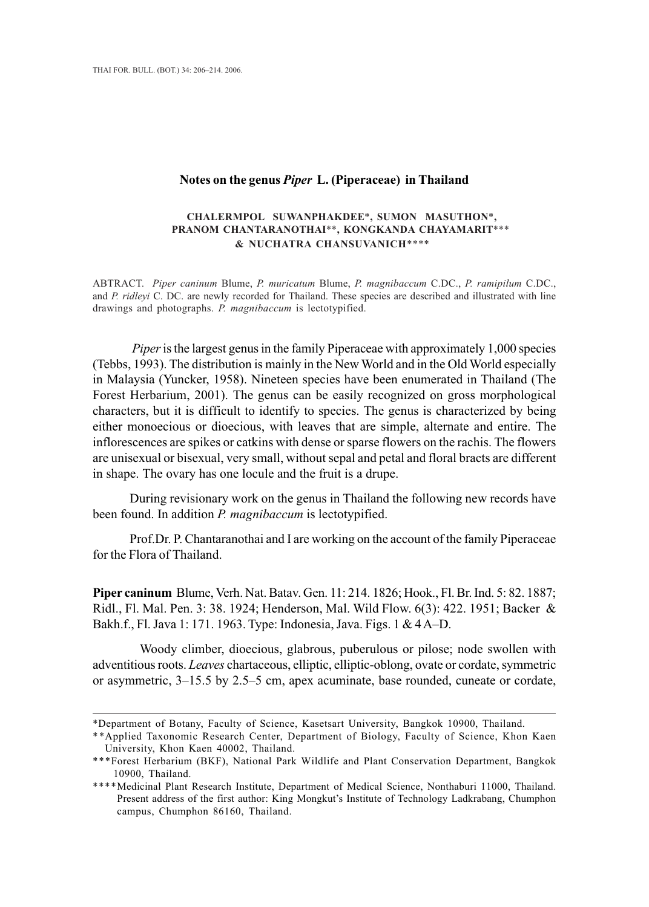## **Notes on the genus** *Piper* **L. (Piperaceae) in Thailand**

## **CHALERMPOL SUWANPHAKDEE**\***, SUMON MASUTHON**\***, PRANOM CHANTARANOTHAI**\*\***, KONGKANDA CHAYAMARIT**\*\*\* **& NUCHATRA CHANSUVANICH**\*\*\*\*

ABTRACT. *Piper caninum* Blume, *P. muricatum* Blume, *P. magnibaccum* C.DC., *P. ramipilum* C.DC., and *P. ridleyi* C. DC. are newly recorded for Thailand. These species are described and illustrated with line drawings and photographs. *P. magnibaccum* is lectotypified.

*Piper* is the largest genus in the family Piperaceae with approximately 1,000 species (Tebbs, 1993). The distribution is mainly in the New World and in the Old World especially in Malaysia (Yuncker, 1958). Nineteen species have been enumerated in Thailand (The Forest Herbarium, 2001). The genus can be easily recognized on gross morphological characters, but it is difficult to identify to species. The genus is characterized by being either monoecious or dioecious, with leaves that are simple, alternate and entire. The inflorescences are spikes or catkins with dense or sparse flowers on the rachis. The flowers are unisexual or bisexual, very small, without sepal and petal and floral bracts are different in shape. The ovary has one locule and the fruit is a drupe.

During revisionary work on the genus in Thailand the following new records have been found. In addition *P. magnibaccum* is lectotypified.

Prof.Dr. P. Chantaranothai and I are working on the account of the family Piperaceae for the Flora of Thailand.

**Piper caninum** Blume, Verh. Nat. Batav. Gen. 11: 214. 1826; Hook., Fl. Br. Ind. 5: 82. 1887; Ridl., Fl. Mal. Pen. 3: 38. 1924; Henderson, Mal. Wild Flow. 6(3): 422. 1951; Backer & Bakh.f., Fl. Java 1: 171. 1963. Type: Indonesia, Java. Figs. 1 & 4 A–D.

Woody climber, dioecious, glabrous, puberulous or pilose; node swollen with adventitious roots. *Leaves* chartaceous, elliptic, elliptic-oblong, ovate or cordate, symmetric or asymmetric, 3–15.5 by 2.5–5 cm, apex acuminate, base rounded, cuneate or cordate,

<sup>\*</sup>Department of Botany, Faculty of Science, Kasetsart University, Bangkok 10900, Thailand.

<sup>\*\*</sup>Applied Taxonomic Research Center, Department of Biology, Faculty of Science, Khon Kaen University, Khon Kaen 40002, Thailand.

<sup>\*\*\*</sup>Forest Herbarium (BKF), National Park Wildlife and Plant Conservation Department, Bangkok 10900, Thailand.

<sup>\*\*\*\*</sup>Medicinal Plant Research Institute, Department of Medical Science, Nonthaburi 11000, Thailand. Present address of the first author: King Mongkut's Institute of Technology Ladkrabang, Chumphon campus, Chumphon 86160, Thailand.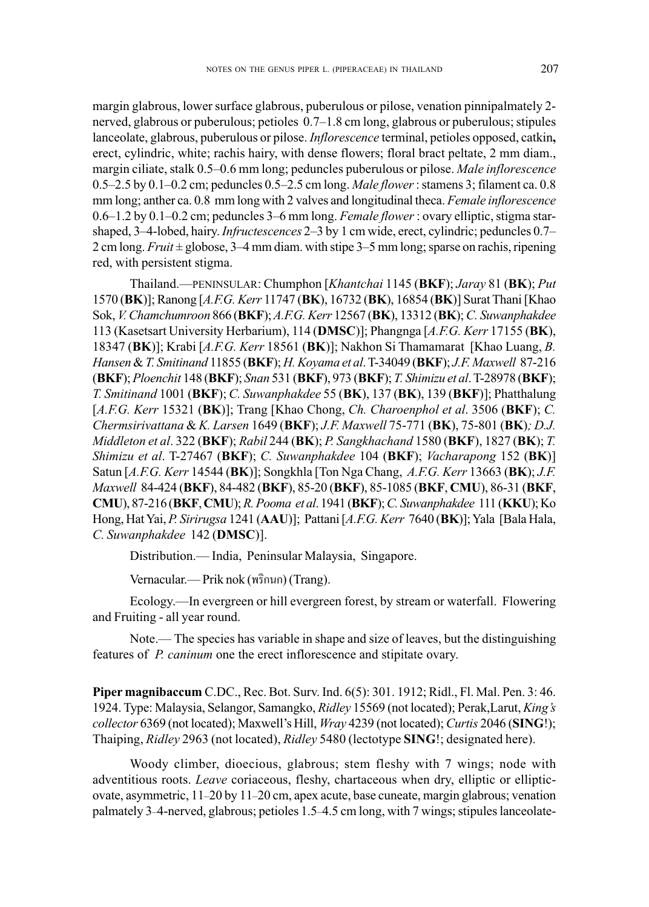margin glabrous, lower surface glabrous, puberulous or pilose, venation pinnipalmately 2 nerved, glabrous or puberulous; petioles0.7–1.8 cm long, glabrous or puberulous; stipules lanceolate, glabrous, puberulous or pilose. *Inflorescence* terminal, petioles opposed, catkin**,** erect, cylindric, white; rachis hairy, with dense flowers; floral bract peltate, 2 mm diam., margin ciliate, stalk 0.5–0.6 mm long; peduncles puberulous or pilose. *Male inflorescence* 0.5–2.5 by 0.1–0.2 cm; peduncles 0.5–2.5 cm long. *Male flower* : stamens 3; filament ca. 0.8 mm long; anther ca. 0.8 mm long with 2 valves and longitudinal theca. *Female inflorescence* 0.6–1.2 by 0.1–0.2 cm; peduncles 3–6 mm long. *Female flower*: ovary elliptic, stigma starshaped, 3–4-lobed, hairy. *Infructescences* 2–3 by 1 cm wide, erect, cylindric; peduncles 0.7– 2 cm long. *Fruit* ± globose, 3–4 mm diam. with stipe 3–5 mm long; sparse on rachis, ripening red, with persistent stigma.

Thailand.—PENINSULAR: Chumphon [*Khantchai* 1145 (**BKF**); *Jaray* 81 (**BK**); *Put* 1570 (**BK**)]; Ranong [*A.F.G. Kerr* 11747 (**BK**), 16732 (**BK**), 16854 (**BK**)] Surat Thani [Khao Sok, *V. Chamchumroon* 866 (**BKF**); *A.F.G. Kerr* 12567 (**BK**), 13312 (**BK**); *C. Suwanphakdee* 113 (Kasetsart University Herbarium), 114 (**DMSC**)]; Phangnga [*A.F.G. Kerr* 17155 (**BK**), 18347 (**BK**)]; Krabi [*A.F.G. Kerr* 18561 (**BK**)]; Nakhon Si Thamamarat [Khao Luang, *B. Hansen* & *T. Smitinand* 11855 (**BKF**); *H. Koyama et al*. T-34049 (**BKF**); *J.F. Maxwell* 87-216 (**BKF**); *Ploenchit* 148 (**BKF**); *Snan* 531 (**BKF**), 973 (**BKF**); *T. Shimizu et al*. T-28978 (**BKF**); *T. Smitinand* 1001 (**BKF**); *C. Suwanphakdee* 55 (**BK**), 137 (**BK**), 139 (**BKF**)]; Phatthalung [*A.F.G. Kerr* 15321 (**BK**)]; Trang [Khao Chong, *Ch. Charoenphol et al*. 3506 (**BKF**); *C. Chermsirivattana* & *K. Larsen* 1649 (**BKF**); *J.F. Maxwell* 75-771 (**BK**), 75-801 (**BK**)*; D.J. Middleton et al*. 322 (**BKF**); *Rabil* 244 (**BK**); *P. Sangkhachand* 1580 (**BKF**), 1827 (**BK**); *T. Shimizu et al*. T-27467 (**BKF**); *C. Suwanphakdee* 104 (**BKF**); *Vacharapong* 152 (**BK**)] Satun [*A.F.G. Kerr* 14544 (**BK**)]; Songkhla [Ton Nga Chang, *A.F.G. Kerr* 13663 (**BK**); *J.F. Maxwell* 84-424 (**BKF**), 84-482 (**BKF**), 85-20 (**BKF**), 85-1085 (**BKF**, **CMU**), 86-31 (**BKF**, **CMU**), 87-216 (**BKF**, **CMU**); *R. Pooma et al*. 1941 (**BKF**); *C. Suwanphakdee* 111 (**KKU**); Ko Hong, Hat Yai, *P. Sirirugsa* 1241 (**AAU**)]; Pattani [*A.F.G. Kerr* 7640 (**BK**)]; Yala [Bala Hala, *C. Suwanphakdee* 142 (**DMSC**)].

Distribution.— India, Peninsular Malaysia, Singapore.

Vernacular.— Prik nok (พริกนก) (Trang).

Ecology.—In evergreen or hill evergreen forest, by stream or waterfall. Flowering and Fruiting - all year round.

Note.— The species has variable in shape and size of leaves, but the distinguishing features of *P. caninum* one the erect inflorescence and stipitate ovary.

**Piper magnibaccum** C.DC., Rec. Bot. Surv. Ind. 6(5): 301. 1912; Ridl., Fl. Mal. Pen. 3: 46. 1924. Type: Malaysia, Selangor, Samangko, *Ridley* 15569 (not located); Perak,Larut, *King's collector* 6369 (not located); Maxwell's Hill, *Wray* 4239 (not located); *Curtis* 2046 (**SING**!); Thaiping, *Ridley* 2963 (not located), *Ridley* 5480 (lectotype **SING**!; designated here).

Woody climber, dioecious, glabrous; stem fleshy with 7 wings; node with adventitious roots. *Leave* coriaceous, fleshy, chartaceous when dry, elliptic or ellipticovate, asymmetric, 11–20 by 11–20 cm, apex acute, base cuneate, margin glabrous; venation palmately 3–4-nerved, glabrous; petioles 1.5–4.5 cm long, with 7 wings; stipules lanceolate-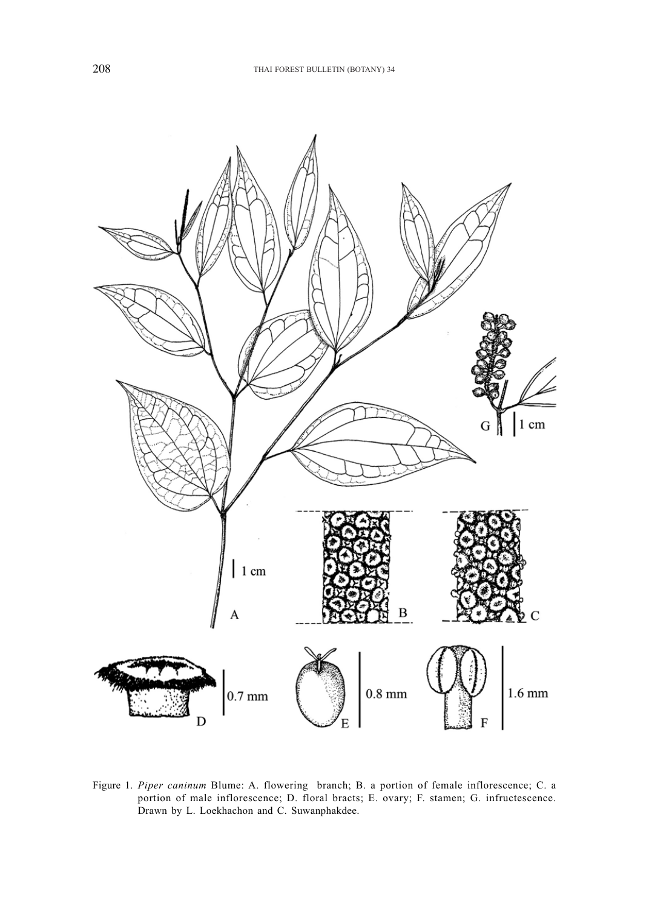

Figure 1. *Piper caninum* Blume: A. flowering branch; B. a portion of female inflorescence; C. a portion of male inflorescence; D. floral bracts; E. ovary; F. stamen; G. infructescence. Drawn by L. Loekhachon and C. Suwanphakdee.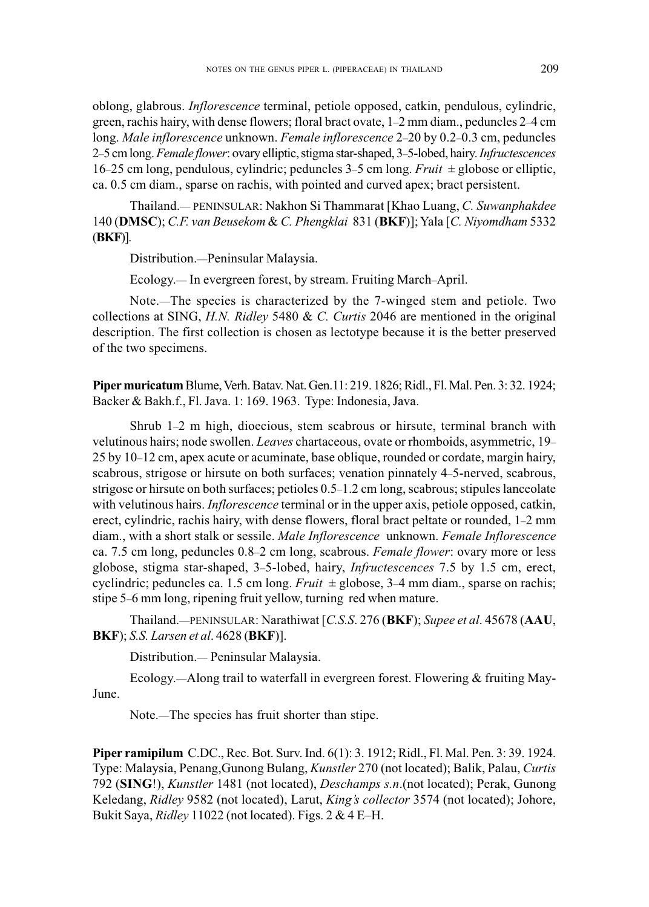oblong, glabrous. *Inflorescence* terminal, petiole opposed, catkin, pendulous, cylindric, green, rachis hairy, with dense flowers; floral bract ovate, 1–2 mm diam., peduncles 2–4 cm long. *Male inflorescence* unknown. *Female inflorescence* 2–20 by 0.2–0.3 cm, peduncles 2–5 cm long. *Female flower*: ovary elliptic, stigma star-shaped, 3–5-lobed, hairy.*Infructescences* 16–25 cm long, pendulous, cylindric; peduncles 3–5 cm long. *Fruit* ± globose or elliptic, ca. 0.5 cm diam., sparse on rachis, with pointed and curved apex; bract persistent.

Thailand.— PENINSULAR: Nakhon Si Thammarat [Khao Luang, *C. Suwanphakdee* 140 (**DMSC**); *C.F. van Beusekom* & *C. Phengklai* 831 (**BKF**)]; Yala [*C. Niyomdham* 5332 (**BKF**)].

Distribution.—Peninsular Malaysia.

Ecology.— In evergreen forest, by stream. Fruiting March–April.

Note.—The species is characterized by the 7-winged stem and petiole. Two collections at SING, *H.N. Ridley* 5480 & *C. Curtis* 2046 are mentioned in the original description. The first collection is chosen as lectotype because it is the better preserved of the two specimens.

**Piper muricatum** Blume, Verh. Batav. Nat. Gen.11: 219. 1826; Ridl., Fl. Mal. Pen. 3: 32. 1924; Backer & Bakh.f., Fl. Java. 1: 169. 1963. Type: Indonesia, Java.

Shrub 1–2 m high, dioecious, stem scabrous or hirsute, terminal branch with velutinous hairs; node swollen. *Leaves* chartaceous, ovate or rhomboids, asymmetric, 19– 25 by 10–12 cm, apex acute or acuminate, base oblique, rounded or cordate, margin hairy, scabrous, strigose or hirsute on both surfaces; venation pinnately 4–5-nerved, scabrous, strigose or hirsute on both surfaces; petioles 0.5–1.2 cm long, scabrous; stipules lanceolate with velutinous hairs. *Inflorescence* terminal or in the upper axis, petiole opposed, catkin, erect, cylindric, rachis hairy, with dense flowers, floral bract peltate or rounded, 1–2 mm diam., with a short stalk or sessile. *Male Inflorescence* unknown. *Female Inflorescence* ca. 7.5 cm long, peduncles 0.8–2 cm long, scabrous. *Female flower*: ovary more or less globose, stigma star-shaped, 3–5-lobed, hairy, *Infructescences* 7.5 by 1.5 cm, erect, cyclindric; peduncles ca. 1.5 cm long. *Fruit* ± globose, 3–4 mm diam., sparse on rachis; stipe 5–6 mm long, ripening fruit yellow, turning red when mature.

Thailand.—PENINSULAR: Narathiwat [*C.S.S*. 276 (**BKF**); *Supee et al*. 45678 (**AAU**, **BKF**); *S.S. Larsen et al*. 4628 (**BKF**)].

Distribution.— Peninsular Malaysia.

Ecology.—Along trail to waterfall in evergreen forest. Flowering & fruiting May-June.

Note.—The species has fruit shorter than stipe.

**Piper ramipilum** C.DC., Rec. Bot. Surv. Ind. 6(1): 3. 1912; Ridl., Fl. Mal. Pen. 3: 39. 1924. Type: Malaysia, Penang,Gunong Bulang, *Kunstler* 270 (not located); Balik, Palau, *Curtis* 792 (**SING**!), *Kunstler* 1481 (not located), *Deschamps s.n*.(not located); Perak, Gunong Keledang, *Ridley* 9582 (not located), Larut, *King's collector* 3574 (not located); Johore, Bukit Saya, *Ridley* 11022 (not located). Figs. 2 & 4 E–H.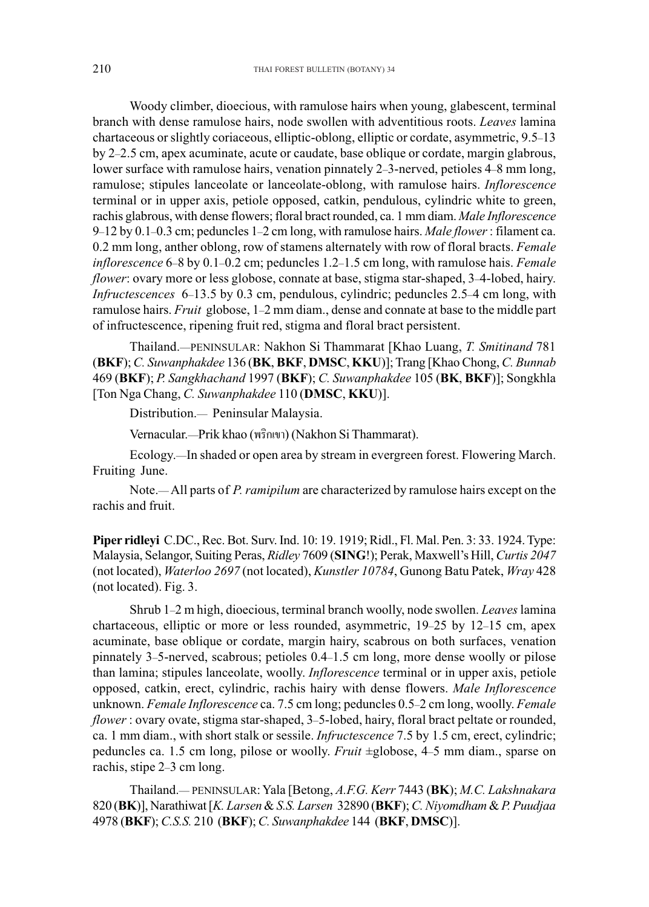Woody climber, dioecious, with ramulose hairs when young, glabescent, terminal branch with dense ramulose hairs, node swollen with adventitious roots. *Leaves* lamina chartaceous or slightly coriaceous, elliptic-oblong, elliptic or cordate, asymmetric, 9.5–13 by 2–2.5 cm, apex acuminate, acute or caudate, base oblique or cordate, margin glabrous, lower surface with ramulose hairs, venation pinnately 2–3-nerved, petioles 4–8 mm long, ramulose; stipules lanceolate or lanceolate-oblong, with ramulose hairs. *Inflorescence* terminal or in upper axis, petiole opposed, catkin, pendulous, cylindric white to green, rachis glabrous, with dense flowers; floral bract rounded, ca. 1 mm diam. *Male Inflorescence* 9–12 by 0.1–0.3 cm; peduncles 1–2 cm long, with ramulose hairs. *Male flower* : filament ca. 0.2 mm long, anther oblong, row of stamens alternately with row of floral bracts. *Female inflorescence* 6–8 by 0.1–0.2 cm; peduncles 1.2–1.5 cm long, with ramulose hais. *Female flower*: ovary more or less globose, connate at base, stigma star-shaped, 3-4-lobed, hairy. *Infructescences* 6–13.5 by 0.3 cm, pendulous, cylindric; peduncles 2.5–4 cm long, with ramulose hairs. *Fruit* globose, 1–2 mm diam., dense and connate at base to the middle part of infructescence, ripening fruit red, stigma and floral bract persistent.

Thailand.—PENINSULAR: Nakhon Si Thammarat [Khao Luang, *T. Smitinand* 781 (**BKF**); *C. Suwanphakdee* 136 (**BK**, **BKF**, **DMSC**, **KKU**)]; Trang [Khao Chong, *C. Bunnab* 469 (**BKF**); *P. Sangkhachand* 1997 (**BKF**); *C. Suwanphakdee* 105 (**BK**, **BKF**)]; Songkhla [Ton Nga Chang, *C. Suwanphakdee* 110 (**DMSC**, **KKU**)].

Distribution.— Peninsular Malaysia.

Vernacular.—Prik khao (พริกเขา) (Nakhon Si Thammarat).

Ecology.—In shaded or open area by stream in evergreen forest. Flowering March. Fruiting June.

Note.— All parts of *P. ramipilum* are characterized by ramulose hairs except on the rachis and fruit.

**Piper ridleyi** C.DC., Rec. Bot. Surv. Ind. 10: 19. 1919; Ridl., Fl. Mal. Pen. 3: 33. 1924. Type: Malaysia, Selangor, Suiting Peras, *Ridley* 7609 (**SING**!); Perak, Maxwell's Hill, *Curtis 2047* (not located), *Waterloo 2697* (not located), *Kunstler 10784*, Gunong Batu Patek, *Wray* 428 (not located). Fig. 3.

Shrub 1–2 m high, dioecious, terminal branch woolly, node swollen. *Leaves* lamina chartaceous, elliptic or more or less rounded, asymmetric, 19–25 by 12–15 cm, apex acuminate, base oblique or cordate, margin hairy, scabrous on both surfaces, venation pinnately 3–5-nerved, scabrous; petioles 0.4–1.5 cm long, more dense woolly or pilose than lamina; stipules lanceolate, woolly. *Inflorescence* terminal or in upper axis, petiole opposed, catkin, erect, cylindric, rachis hairy with dense flowers. *Male Inflorescence* unknown. *Female Inflorescence* ca. 7.5 cm long; peduncles 0.5–2 cm long, woolly. *Female flower* : ovary ovate, stigma star-shaped, 3–5-lobed, hairy, floral bract peltate or rounded, ca. 1 mm diam., with short stalk or sessile. *Infructescence* 7.5 by 1.5 cm, erect, cylindric; peduncles ca. 1.5 cm long, pilose or woolly. *Fruit* ±globose, 4–5 mm diam., sparse on rachis, stipe 2–3 cm long.

Thailand.— PENINSULAR: Yala [Betong, *A.F.G. Kerr* 7443 (**BK**); *M.C. Lakshnakara* 820 (**BK**)], Narathiwat [*K. Larsen* & *S.S. Larsen* 32890 (**BKF**); *C. Niyomdham* & *P. Puudjaa* 4978 (**BKF**); *C.S.S.* 210 (**BKF**); *C. Suwanphakdee* 144 (**BKF**, **DMSC**)].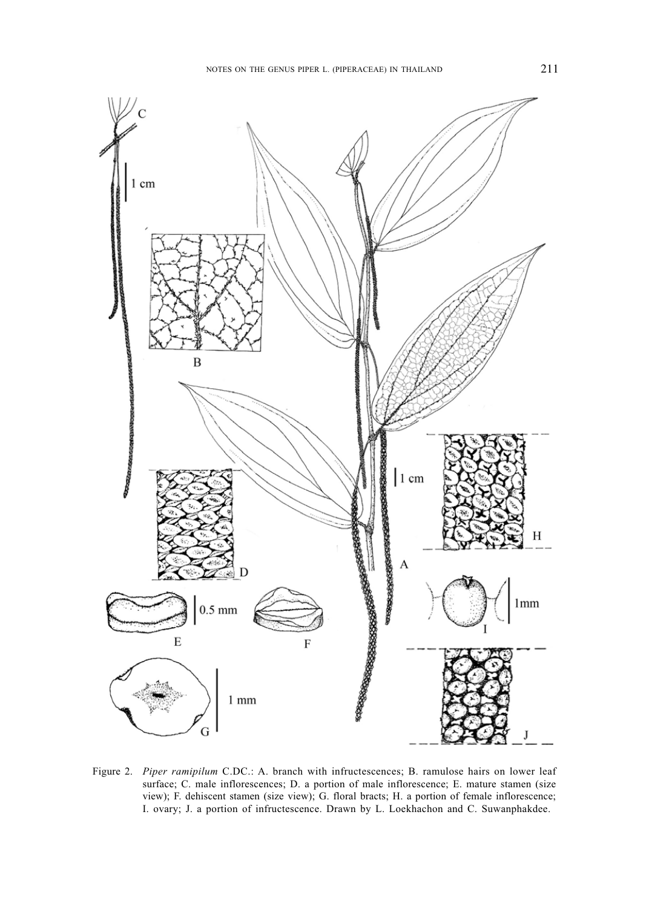

Figure 2. *Piper ramipilum* C.DC.: A. branch with infructescences; B. ramulose hairs on lower leaf surface; C. male inflorescences; D. a portion of male inflorescence; E. mature stamen (size view); F. dehiscent stamen (size view); G. floral bracts; H. a portion of female inflorescence; I. ovary; J. a portion of infructescence. Drawn by L. Loekhachon and C. Suwanphakdee.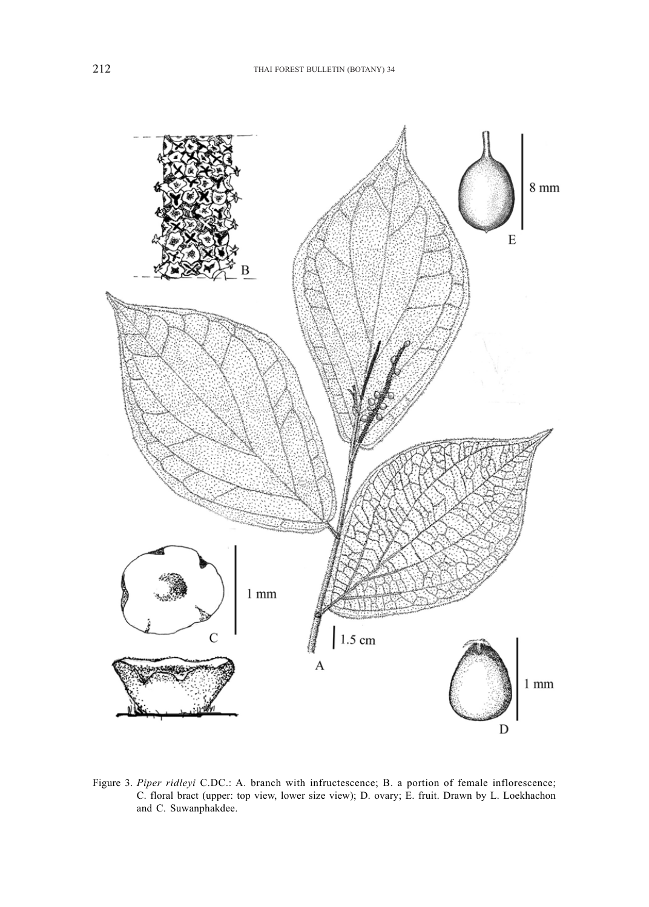

Figure 3. *Piper ridleyi* C.DC.: A. branch with infructescence; B. a portion of female inflorescence; C. floral bract (upper: top view, lower size view); D. ovary; E. fruit. Drawn by L. Loekhachon and C. Suwanphakdee.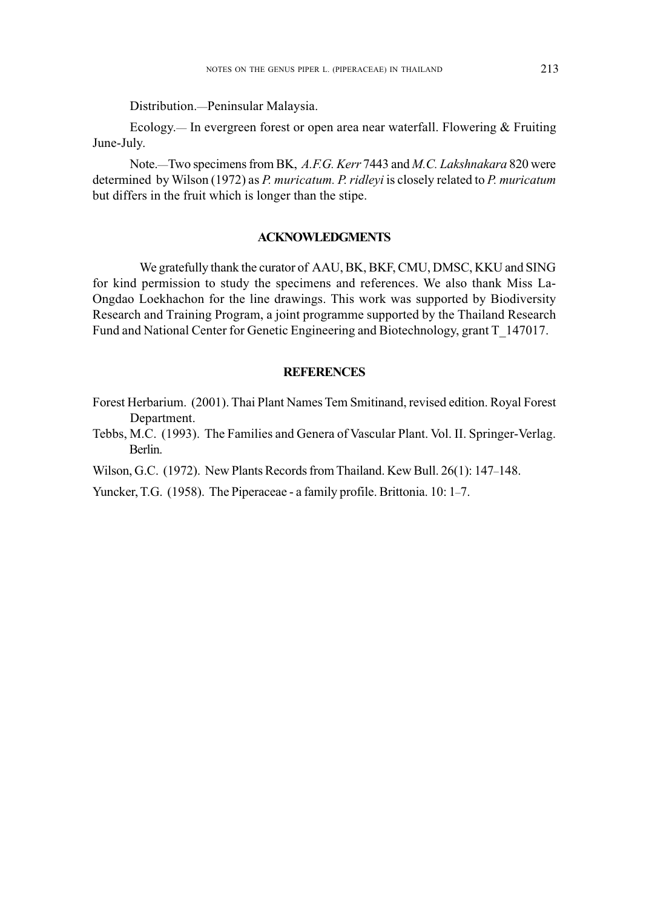Distribution.—Peninsular Malaysia.

Ecology.— In evergreen forest or open area near waterfall. Flowering & Fruiting June-July.

Note.—Two specimens from BK, *A.F.G. Kerr* 7443 and *M.C. Lakshnakara* 820 were determined by Wilson (1972) as *P. muricatum. P. ridleyi* is closely related to *P. muricatum* but differs in the fruit which is longer than the stipe.

## **ACKNOWLEDGMENTS**

We gratefully thank the curator of AAU, BK, BKF, CMU, DMSC, KKU and SING for kind permission to study the specimens and references. We also thank Miss La-Ongdao Loekhachon for the line drawings. This work was supported by Biodiversity Research and Training Program, a joint programme supported by the Thailand Research Fund and National Center for Genetic Engineering and Biotechnology, grant T\_147017.

## **REFERENCES**

Forest Herbarium. (2001). Thai Plant Names Tem Smitinand, revised edition. Royal Forest Department.

Tebbs, M.C. (1993). The Families and Genera of Vascular Plant. Vol. II. Springer-Verlag. Berlin.

Wilson, G.C. (1972). New Plants Records from Thailand. Kew Bull. 26(1): 147–148.

Yuncker, T.G. (1958). The Piperaceae - a family profile. Brittonia. 10: 1–7.